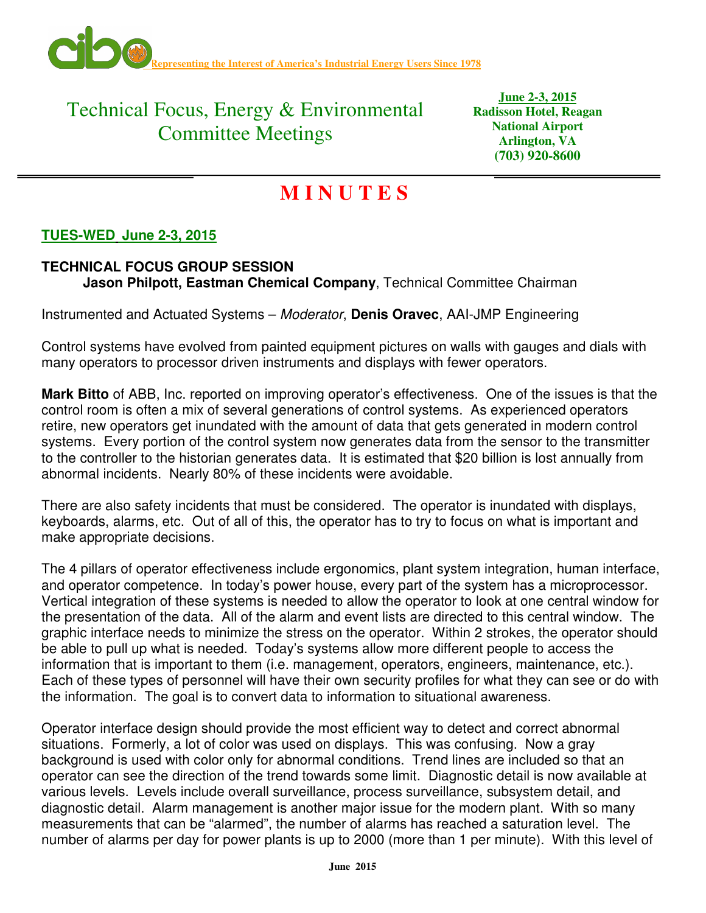

## Technical Focus, Energy & Environmental Committee Meetings

**June 2-3, 2015 Radisson Hotel, Reagan National Airport Arlington, VA (703) 920-8600** 

# **M I N U T E S**

### **TUES-WED June 2-3, 2015**

### **TECHNICAL FOCUS GROUP SESSION Jason Philpott, Eastman Chemical Company**, Technical Committee Chairman

Instrumented and Actuated Systems – Moderator, **Denis Oravec**, AAI-JMP Engineering

Control systems have evolved from painted equipment pictures on walls with gauges and dials with many operators to processor driven instruments and displays with fewer operators.

**Mark Bitto** of ABB, Inc. reported on improving operator's effectiveness. One of the issues is that the control room is often a mix of several generations of control systems. As experienced operators retire, new operators get inundated with the amount of data that gets generated in modern control systems. Every portion of the control system now generates data from the sensor to the transmitter to the controller to the historian generates data. It is estimated that \$20 billion is lost annually from abnormal incidents. Nearly 80% of these incidents were avoidable.

There are also safety incidents that must be considered. The operator is inundated with displays, keyboards, alarms, etc. Out of all of this, the operator has to try to focus on what is important and make appropriate decisions.

The 4 pillars of operator effectiveness include ergonomics, plant system integration, human interface, and operator competence. In today's power house, every part of the system has a microprocessor. Vertical integration of these systems is needed to allow the operator to look at one central window for the presentation of the data. All of the alarm and event lists are directed to this central window. The graphic interface needs to minimize the stress on the operator. Within 2 strokes, the operator should be able to pull up what is needed. Today's systems allow more different people to access the information that is important to them (i.e. management, operators, engineers, maintenance, etc.). Each of these types of personnel will have their own security profiles for what they can see or do with the information. The goal is to convert data to information to situational awareness.

Operator interface design should provide the most efficient way to detect and correct abnormal situations. Formerly, a lot of color was used on displays. This was confusing. Now a gray background is used with color only for abnormal conditions. Trend lines are included so that an operator can see the direction of the trend towards some limit. Diagnostic detail is now available at various levels. Levels include overall surveillance, process surveillance, subsystem detail, and diagnostic detail. Alarm management is another major issue for the modern plant. With so many measurements that can be "alarmed", the number of alarms has reached a saturation level. The number of alarms per day for power plants is up to 2000 (more than 1 per minute). With this level of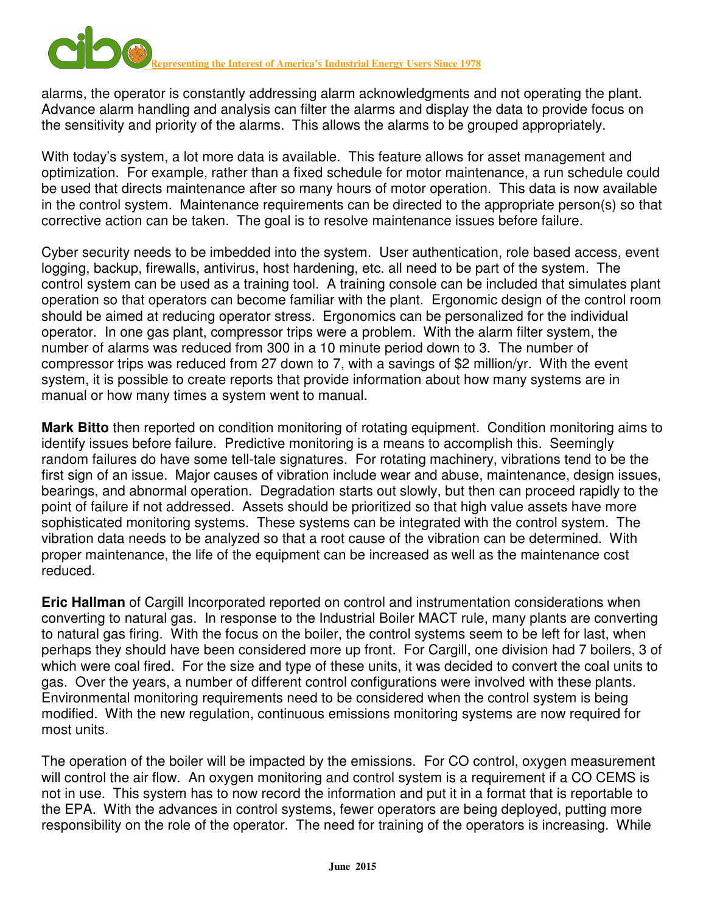

alarms, the operator is constantly addressing alarm acknowledgments and not operating the plant. Advance alarm handling and analysis can filter the alarms and display the data to provide focus on the sensitivity and priority of the alarms. This allows the alarms to be grouped appropriately.

With today's system, a lot more data is available. This feature allows for asset management and optimization. For example, rather than a fixed schedule for motor maintenance, a run schedule could be used that directs maintenance after so many hours of motor operation. This data is now available in the control system. Maintenance requirements can be directed to the appropriate person(s) so that corrective action can be taken. The goal is to resolve maintenance issues before failure.

Cyber security needs to be imbedded into the system. User authentication, role based access, event logging, backup, firewalls, antivirus, host hardening, etc. all need to be part of the system. The control system can be used as a training tool. A training console can be included that simulates plant operation so that operators can become familiar with the plant. Ergonomic design of the control room should be aimed at reducing operator stress. Ergonomics can be personalized for the individual operator. In one gas plant, compressor trips were a problem. With the alarm filter system, the number of alarms was reduced from 300 in a 10 minute period down to 3. The number of compressor trips was reduced from 27 down to 7, with a savings of \$2 million/yr. With the event system, it is possible to create reports that provide information about how many systems are in manual or how many times a system went to manual.

**Mark Bitto** then reported on condition monitoring of rotating equipment. Condition monitoring aims to identify issues before failure. Predictive monitoring is a means to accomplish this. Seemingly random failures do have some tell-tale signatures. For rotating machinery, vibrations tend to be the first sign of an issue. Major causes of vibration include wear and abuse, maintenance, design issues, bearings, and abnormal operation. Degradation starts out slowly, but then can proceed rapidly to the point of failure if not addressed. Assets should be prioritized so that high value assets have more sophisticated monitoring systems. These systems can be integrated with the control system. The vibration data needs to be analyzed so that a root cause of the vibration can be determined. With proper maintenance, the life of the equipment can be increased as well as the maintenance cost reduced.

**Eric Hallman** of Cargill Incorporated reported on control and instrumentation considerations when converting to natural gas. In response to the Industrial Boiler MACT rule, many plants are converting to natural gas firing. With the focus on the boiler, the control systems seem to be left for last, when perhaps they should have been considered more up front. For Cargill, one division had 7 boilers, 3 of which were coal fired. For the size and type of these units, it was decided to convert the coal units to gas. Over the years, a number of different control configurations were involved with these plants. Environmental monitoring requirements need to be considered when the control system is being modified. With the new regulation, continuous emissions monitoring systems are now required for most units.

The operation of the boiler will be impacted by the emissions. For CO control, oxygen measurement will control the air flow. An oxygen monitoring and control system is a requirement if a CO CEMS is not in use. This system has to now record the information and put it in a format that is reportable to the EPA. With the advances in control systems, fewer operators are being deployed, putting more responsibility on the role of the operator. The need for training of the operators is increasing. While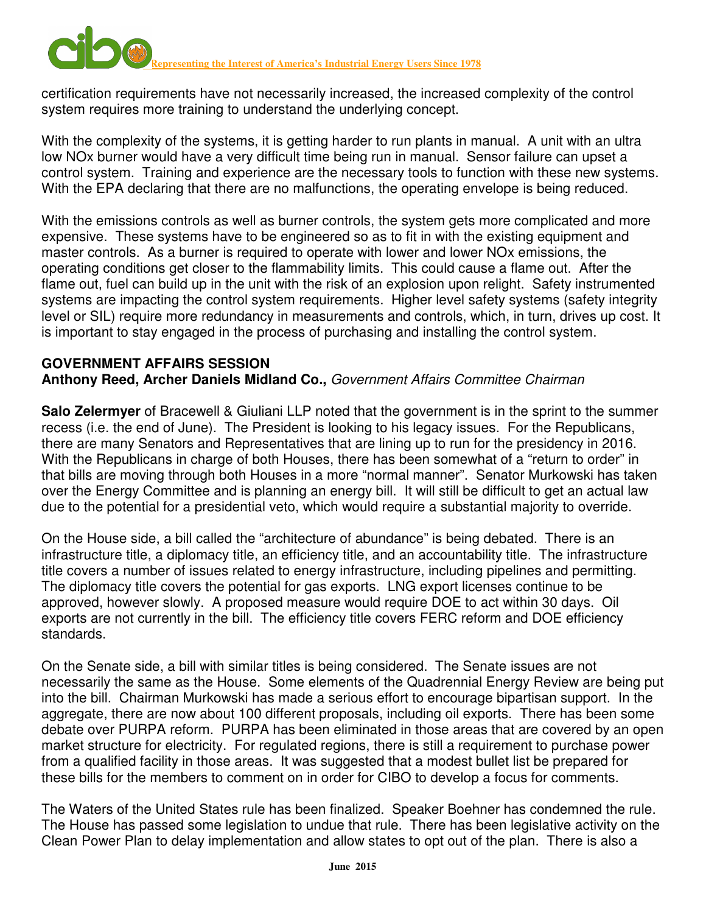certification requirements have not necessarily increased, the increased complexity of the control system requires more training to understand the underlying concept.

With the complexity of the systems, it is getting harder to run plants in manual. A unit with an ultra low NOx burner would have a very difficult time being run in manual. Sensor failure can upset a control system. Training and experience are the necessary tools to function with these new systems. With the EPA declaring that there are no malfunctions, the operating envelope is being reduced.

With the emissions controls as well as burner controls, the system gets more complicated and more expensive. These systems have to be engineered so as to fit in with the existing equipment and master controls. As a burner is required to operate with lower and lower NOx emissions, the operating conditions get closer to the flammability limits. This could cause a flame out. After the flame out, fuel can build up in the unit with the risk of an explosion upon relight. Safety instrumented systems are impacting the control system requirements. Higher level safety systems (safety integrity level or SIL) require more redundancy in measurements and controls, which, in turn, drives up cost. It is important to stay engaged in the process of purchasing and installing the control system.

#### **GOVERNMENT AFFAIRS SESSION Anthony Reed, Archer Daniels Midland Co.,** Government Affairs Committee Chairman

**Salo Zelermyer** of Bracewell & Giuliani LLP noted that the government is in the sprint to the summer recess (i.e. the end of June). The President is looking to his legacy issues. For the Republicans, there are many Senators and Representatives that are lining up to run for the presidency in 2016. With the Republicans in charge of both Houses, there has been somewhat of a "return to order" in that bills are moving through both Houses in a more "normal manner". Senator Murkowski has taken over the Energy Committee and is planning an energy bill. It will still be difficult to get an actual law due to the potential for a presidential veto, which would require a substantial majority to override.

On the House side, a bill called the "architecture of abundance" is being debated. There is an infrastructure title, a diplomacy title, an efficiency title, and an accountability title. The infrastructure title covers a number of issues related to energy infrastructure, including pipelines and permitting. The diplomacy title covers the potential for gas exports. LNG export licenses continue to be approved, however slowly. A proposed measure would require DOE to act within 30 days. Oil exports are not currently in the bill. The efficiency title covers FERC reform and DOE efficiency standards.

On the Senate side, a bill with similar titles is being considered. The Senate issues are not necessarily the same as the House. Some elements of the Quadrennial Energy Review are being put into the bill. Chairman Murkowski has made a serious effort to encourage bipartisan support. In the aggregate, there are now about 100 different proposals, including oil exports. There has been some debate over PURPA reform. PURPA has been eliminated in those areas that are covered by an open market structure for electricity. For regulated regions, there is still a requirement to purchase power from a qualified facility in those areas. It was suggested that a modest bullet list be prepared for these bills for the members to comment on in order for CIBO to develop a focus for comments.

The Waters of the United States rule has been finalized. Speaker Boehner has condemned the rule. The House has passed some legislation to undue that rule. There has been legislative activity on the Clean Power Plan to delay implementation and allow states to opt out of the plan. There is also a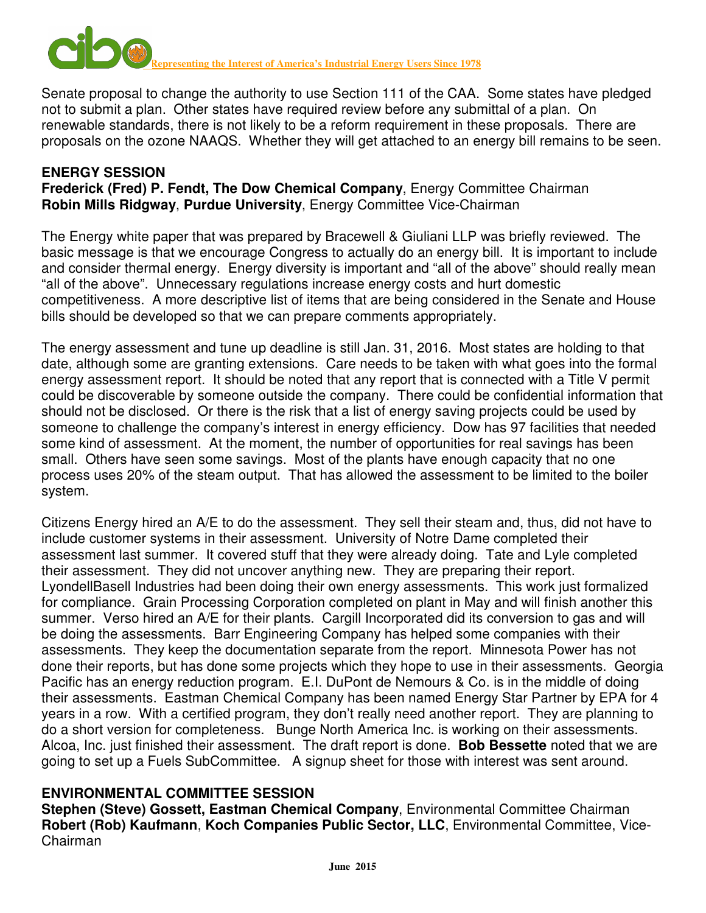

Senate proposal to change the authority to use Section 111 of the CAA. Some states have pledged not to submit a plan. Other states have required review before any submittal of a plan. On renewable standards, there is not likely to be a reform requirement in these proposals. There are proposals on the ozone NAAQS. Whether they will get attached to an energy bill remains to be seen.

#### **ENERGY SESSION Frederick (Fred) P. Fendt, The Dow Chemical Company**, Energy Committee Chairman **Robin Mills Ridgway**, **Purdue University**, Energy Committee Vice-Chairman

The Energy white paper that was prepared by Bracewell & Giuliani LLP was briefly reviewed. The basic message is that we encourage Congress to actually do an energy bill. It is important to include and consider thermal energy. Energy diversity is important and "all of the above" should really mean "all of the above". Unnecessary regulations increase energy costs and hurt domestic competitiveness. A more descriptive list of items that are being considered in the Senate and House bills should be developed so that we can prepare comments appropriately.

The energy assessment and tune up deadline is still Jan. 31, 2016. Most states are holding to that date, although some are granting extensions. Care needs to be taken with what goes into the formal energy assessment report. It should be noted that any report that is connected with a Title V permit could be discoverable by someone outside the company. There could be confidential information that should not be disclosed. Or there is the risk that a list of energy saving projects could be used by someone to challenge the company's interest in energy efficiency. Dow has 97 facilities that needed some kind of assessment. At the moment, the number of opportunities for real savings has been small. Others have seen some savings. Most of the plants have enough capacity that no one process uses 20% of the steam output. That has allowed the assessment to be limited to the boiler system.

Citizens Energy hired an A/E to do the assessment. They sell their steam and, thus, did not have to include customer systems in their assessment. University of Notre Dame completed their assessment last summer. It covered stuff that they were already doing. Tate and Lyle completed their assessment. They did not uncover anything new. They are preparing their report. LyondellBasell Industries had been doing their own energy assessments. This work just formalized for compliance. Grain Processing Corporation completed on plant in May and will finish another this summer. Verso hired an A/E for their plants. Cargill Incorporated did its conversion to gas and will be doing the assessments. Barr Engineering Company has helped some companies with their assessments. They keep the documentation separate from the report. Minnesota Power has not done their reports, but has done some projects which they hope to use in their assessments. Georgia Pacific has an energy reduction program. E.I. DuPont de Nemours & Co. is in the middle of doing their assessments. Eastman Chemical Company has been named Energy Star Partner by EPA for 4 years in a row. With a certified program, they don't really need another report. They are planning to do a short version for completeness. Bunge North America Inc. is working on their assessments. Alcoa, Inc. just finished their assessment. The draft report is done. **Bob Bessette** noted that we are going to set up a Fuels SubCommittee. A signup sheet for those with interest was sent around.

#### **ENVIRONMENTAL COMMITTEE SESSION**

**Stephen (Steve) Gossett, Eastman Chemical Company**, Environmental Committee Chairman **Robert (Rob) Kaufmann**, **Koch Companies Public Sector, LLC**, Environmental Committee, Vice-Chairman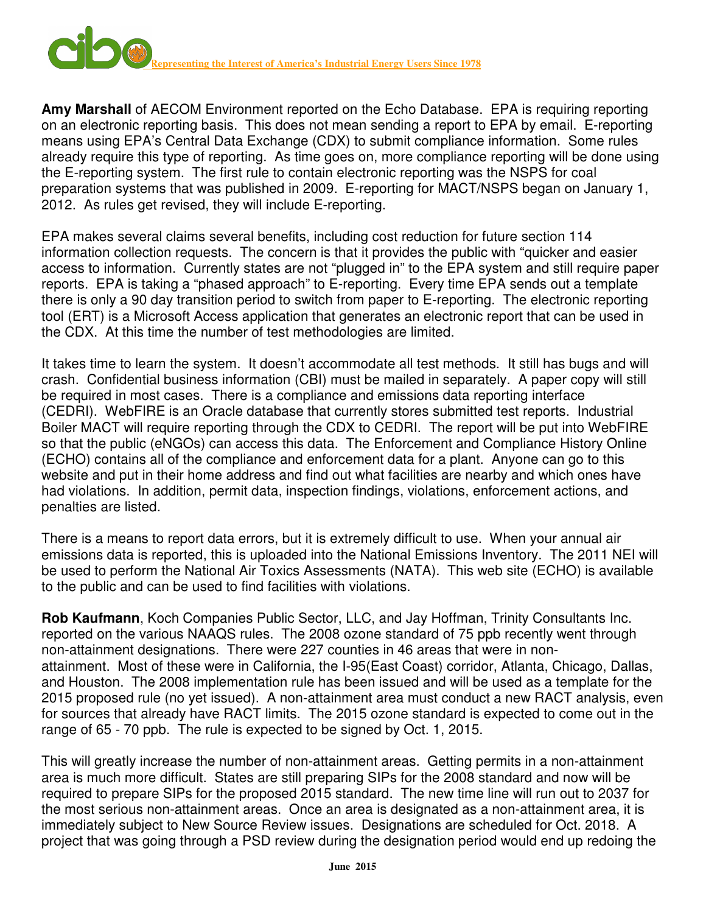

**Amy Marshall** of AECOM Environment reported on the Echo Database. EPA is requiring reporting on an electronic reporting basis. This does not mean sending a report to EPA by email. E-reporting means using EPA's Central Data Exchange (CDX) to submit compliance information. Some rules already require this type of reporting. As time goes on, more compliance reporting will be done using the E-reporting system. The first rule to contain electronic reporting was the NSPS for coal preparation systems that was published in 2009. E-reporting for MACT/NSPS began on January 1, 2012. As rules get revised, they will include E-reporting.

EPA makes several claims several benefits, including cost reduction for future section 114 information collection requests. The concern is that it provides the public with "quicker and easier access to information. Currently states are not "plugged in" to the EPA system and still require paper reports. EPA is taking a "phased approach" to E-reporting. Every time EPA sends out a template there is only a 90 day transition period to switch from paper to E-reporting. The electronic reporting tool (ERT) is a Microsoft Access application that generates an electronic report that can be used in the CDX. At this time the number of test methodologies are limited.

It takes time to learn the system. It doesn't accommodate all test methods. It still has bugs and will crash. Confidential business information (CBI) must be mailed in separately. A paper copy will still be required in most cases. There is a compliance and emissions data reporting interface (CEDRI). WebFIRE is an Oracle database that currently stores submitted test reports. Industrial Boiler MACT will require reporting through the CDX to CEDRI. The report will be put into WebFIRE so that the public (eNGOs) can access this data. The Enforcement and Compliance History Online (ECHO) contains all of the compliance and enforcement data for a plant. Anyone can go to this website and put in their home address and find out what facilities are nearby and which ones have had violations. In addition, permit data, inspection findings, violations, enforcement actions, and penalties are listed.

There is a means to report data errors, but it is extremely difficult to use. When your annual air emissions data is reported, this is uploaded into the National Emissions Inventory. The 2011 NEI will be used to perform the National Air Toxics Assessments (NATA). This web site (ECHO) is available to the public and can be used to find facilities with violations.

**Rob Kaufmann**, Koch Companies Public Sector, LLC, and Jay Hoffman, Trinity Consultants Inc. reported on the various NAAQS rules. The 2008 ozone standard of 75 ppb recently went through non-attainment designations. There were 227 counties in 46 areas that were in nonattainment. Most of these were in California, the I-95(East Coast) corridor, Atlanta, Chicago, Dallas, and Houston. The 2008 implementation rule has been issued and will be used as a template for the 2015 proposed rule (no yet issued). A non-attainment area must conduct a new RACT analysis, even for sources that already have RACT limits. The 2015 ozone standard is expected to come out in the range of 65 - 70 ppb. The rule is expected to be signed by Oct. 1, 2015.

This will greatly increase the number of non-attainment areas. Getting permits in a non-attainment area is much more difficult. States are still preparing SIPs for the 2008 standard and now will be required to prepare SIPs for the proposed 2015 standard. The new time line will run out to 2037 for the most serious non-attainment areas. Once an area is designated as a non-attainment area, it is immediately subject to New Source Review issues. Designations are scheduled for Oct. 2018. A project that was going through a PSD review during the designation period would end up redoing the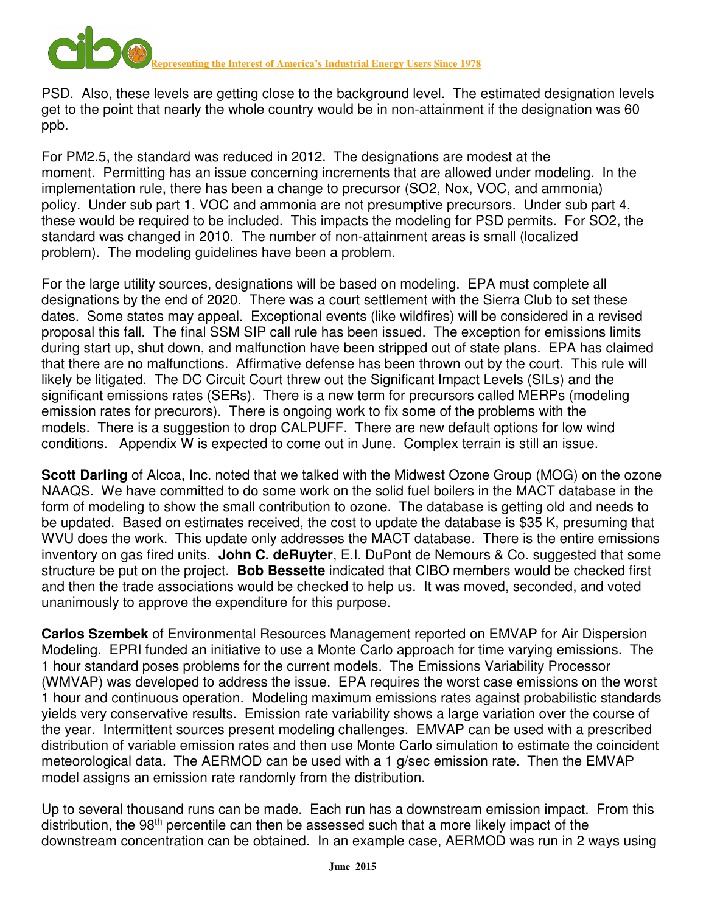**PRESENT ENERGY CONTROVER THE INTERFERITUAL ENERGY USERS Since 1978** 

PSD. Also, these levels are getting close to the background level. The estimated designation levels get to the point that nearly the whole country would be in non-attainment if the designation was 60 ppb.

For PM2.5, the standard was reduced in 2012. The designations are modest at the moment. Permitting has an issue concerning increments that are allowed under modeling. In the implementation rule, there has been a change to precursor (SO2, Nox, VOC, and ammonia) policy. Under sub part 1, VOC and ammonia are not presumptive precursors. Under sub part 4, these would be required to be included. This impacts the modeling for PSD permits. For SO2, the standard was changed in 2010. The number of non-attainment areas is small (localized problem). The modeling guidelines have been a problem.

For the large utility sources, designations will be based on modeling. EPA must complete all designations by the end of 2020. There was a court settlement with the Sierra Club to set these dates. Some states may appeal. Exceptional events (like wildfires) will be considered in a revised proposal this fall. The final SSM SIP call rule has been issued. The exception for emissions limits during start up, shut down, and malfunction have been stripped out of state plans. EPA has claimed that there are no malfunctions. Affirmative defense has been thrown out by the court. This rule will likely be litigated. The DC Circuit Court threw out the Significant Impact Levels (SILs) and the significant emissions rates (SERs). There is a new term for precursors called MERPs (modeling emission rates for precurors). There is ongoing work to fix some of the problems with the models. There is a suggestion to drop CALPUFF. There are new default options for low wind conditions. Appendix W is expected to come out in June. Complex terrain is still an issue.

**Scott Darling** of Alcoa, Inc. noted that we talked with the Midwest Ozone Group (MOG) on the ozone NAAQS. We have committed to do some work on the solid fuel boilers in the MACT database in the form of modeling to show the small contribution to ozone. The database is getting old and needs to be updated. Based on estimates received, the cost to update the database is \$35 K, presuming that WVU does the work. This update only addresses the MACT database. There is the entire emissions inventory on gas fired units. **John C. deRuyter**, E.I. DuPont de Nemours & Co. suggested that some structure be put on the project. **Bob Bessette** indicated that CIBO members would be checked first and then the trade associations would be checked to help us. It was moved, seconded, and voted unanimously to approve the expenditure for this purpose.

**Carlos Szembek** of Environmental Resources Management reported on EMVAP for Air Dispersion Modeling. EPRI funded an initiative to use a Monte Carlo approach for time varying emissions. The 1 hour standard poses problems for the current models. The Emissions Variability Processor (WMVAP) was developed to address the issue. EPA requires the worst case emissions on the worst 1 hour and continuous operation. Modeling maximum emissions rates against probabilistic standards yields very conservative results. Emission rate variability shows a large variation over the course of the year. Intermittent sources present modeling challenges. EMVAP can be used with a prescribed distribution of variable emission rates and then use Monte Carlo simulation to estimate the coincident meteorological data. The AERMOD can be used with a 1 g/sec emission rate. Then the EMVAP model assigns an emission rate randomly from the distribution.

Up to several thousand runs can be made. Each run has a downstream emission impact. From this distribution, the 98<sup>th</sup> percentile can then be assessed such that a more likely impact of the downstream concentration can be obtained. In an example case, AERMOD was run in 2 ways using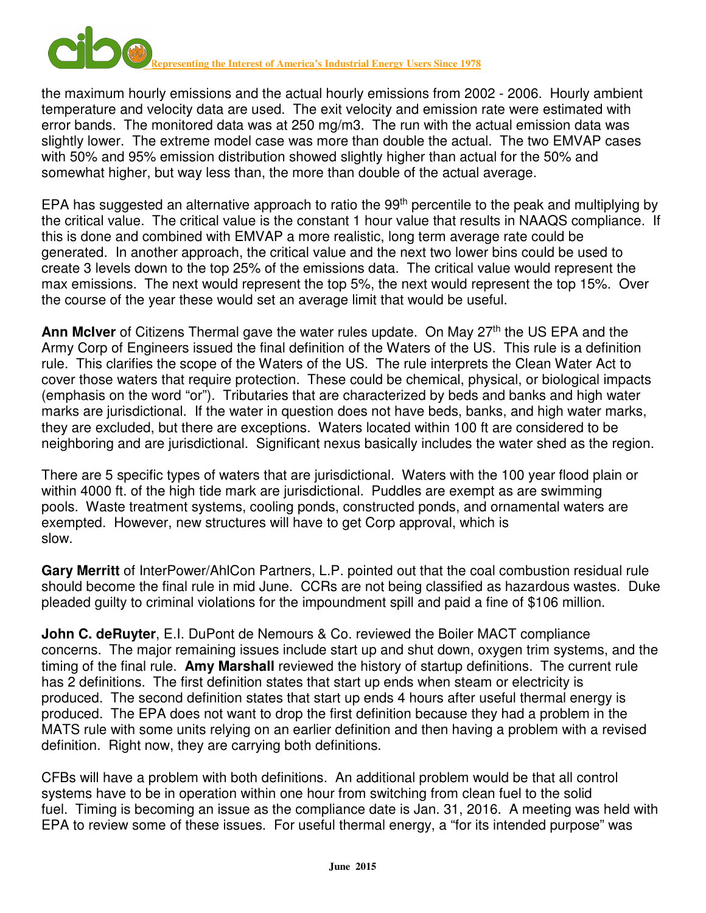

the maximum hourly emissions and the actual hourly emissions from 2002 - 2006. Hourly ambient temperature and velocity data are used. The exit velocity and emission rate were estimated with error bands. The monitored data was at 250 mg/m3. The run with the actual emission data was slightly lower. The extreme model case was more than double the actual. The two EMVAP cases with 50% and 95% emission distribution showed slightly higher than actual for the 50% and somewhat higher, but way less than, the more than double of the actual average.

EPA has suggested an alternative approach to ratio the 99<sup>th</sup> percentile to the peak and multiplying by the critical value. The critical value is the constant 1 hour value that results in NAAQS compliance. If this is done and combined with EMVAP a more realistic, long term average rate could be generated. In another approach, the critical value and the next two lower bins could be used to create 3 levels down to the top 25% of the emissions data. The critical value would represent the max emissions. The next would represent the top 5%, the next would represent the top 15%. Over the course of the year these would set an average limit that would be useful.

**Ann McIver** of Citizens Thermal gave the water rules update. On May 27<sup>th</sup> the US EPA and the Army Corp of Engineers issued the final definition of the Waters of the US. This rule is a definition rule. This clarifies the scope of the Waters of the US. The rule interprets the Clean Water Act to cover those waters that require protection. These could be chemical, physical, or biological impacts (emphasis on the word "or"). Tributaries that are characterized by beds and banks and high water marks are jurisdictional. If the water in question does not have beds, banks, and high water marks, they are excluded, but there are exceptions. Waters located within 100 ft are considered to be neighboring and are jurisdictional. Significant nexus basically includes the water shed as the region.

There are 5 specific types of waters that are jurisdictional. Waters with the 100 year flood plain or within 4000 ft. of the high tide mark are jurisdictional. Puddles are exempt as are swimming pools. Waste treatment systems, cooling ponds, constructed ponds, and ornamental waters are exempted. However, new structures will have to get Corp approval, which is slow.

**Gary Merritt** of InterPower/AhlCon Partners, L.P. pointed out that the coal combustion residual rule should become the final rule in mid June. CCRs are not being classified as hazardous wastes. Duke pleaded guilty to criminal violations for the impoundment spill and paid a fine of \$106 million.

**John C. deRuyter, E.I. DuPont de Nemours & Co. reviewed the Boiler MACT compliance** concerns. The major remaining issues include start up and shut down, oxygen trim systems, and the timing of the final rule. **Amy Marshall** reviewed the history of startup definitions. The current rule has 2 definitions. The first definition states that start up ends when steam or electricity is produced. The second definition states that start up ends 4 hours after useful thermal energy is produced. The EPA does not want to drop the first definition because they had a problem in the MATS rule with some units relying on an earlier definition and then having a problem with a revised definition. Right now, they are carrying both definitions.

CFBs will have a problem with both definitions. An additional problem would be that all control systems have to be in operation within one hour from switching from clean fuel to the solid fuel. Timing is becoming an issue as the compliance date is Jan. 31, 2016. A meeting was held with EPA to review some of these issues. For useful thermal energy, a "for its intended purpose" was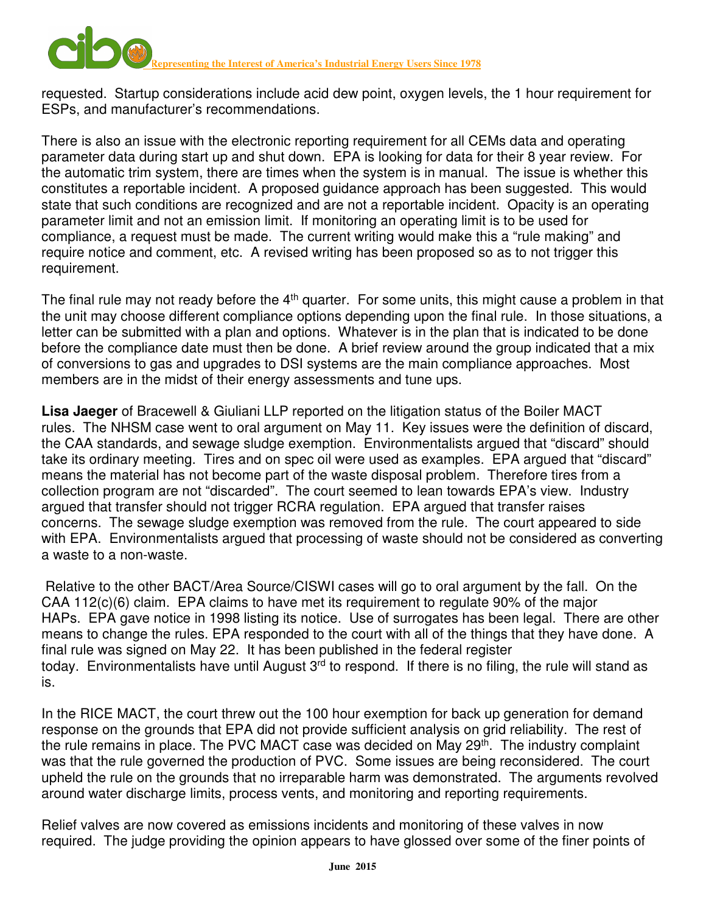requested. Startup considerations include acid dew point, oxygen levels, the 1 hour requirement for ESPs, and manufacturer's recommendations.

There is also an issue with the electronic reporting requirement for all CEMs data and operating parameter data during start up and shut down. EPA is looking for data for their 8 year review. For the automatic trim system, there are times when the system is in manual. The issue is whether this constitutes a reportable incident. A proposed guidance approach has been suggested. This would state that such conditions are recognized and are not a reportable incident. Opacity is an operating parameter limit and not an emission limit. If monitoring an operating limit is to be used for compliance, a request must be made. The current writing would make this a "rule making" and require notice and comment, etc. A revised writing has been proposed so as to not trigger this requirement.

The final rule may not ready before the  $4<sup>th</sup>$  quarter. For some units, this might cause a problem in that the unit may choose different compliance options depending upon the final rule. In those situations, a letter can be submitted with a plan and options. Whatever is in the plan that is indicated to be done before the compliance date must then be done. A brief review around the group indicated that a mix of conversions to gas and upgrades to DSI systems are the main compliance approaches. Most members are in the midst of their energy assessments and tune ups.

**Lisa Jaeger** of Bracewell & Giuliani LLP reported on the litigation status of the Boiler MACT rules. The NHSM case went to oral argument on May 11. Key issues were the definition of discard, the CAA standards, and sewage sludge exemption. Environmentalists argued that "discard" should take its ordinary meeting. Tires and on spec oil were used as examples. EPA argued that "discard" means the material has not become part of the waste disposal problem. Therefore tires from a collection program are not "discarded". The court seemed to lean towards EPA's view. Industry argued that transfer should not trigger RCRA regulation. EPA argued that transfer raises concerns. The sewage sludge exemption was removed from the rule. The court appeared to side with EPA. Environmentalists argued that processing of waste should not be considered as converting a waste to a non-waste.

 Relative to the other BACT/Area Source/CISWI cases will go to oral argument by the fall. On the CAA 112(c)(6) claim. EPA claims to have met its requirement to regulate 90% of the major HAPs. EPA gave notice in 1998 listing its notice. Use of surrogates has been legal. There are other means to change the rules. EPA responded to the court with all of the things that they have done. A final rule was signed on May 22. It has been published in the federal register today. Environmentalists have until August 3<sup>rd</sup> to respond. If there is no filing, the rule will stand as is.

In the RICE MACT, the court threw out the 100 hour exemption for back up generation for demand response on the grounds that EPA did not provide sufficient analysis on grid reliability. The rest of the rule remains in place. The PVC MACT case was decided on May 29<sup>th</sup>. The industry complaint was that the rule governed the production of PVC. Some issues are being reconsidered. The court upheld the rule on the grounds that no irreparable harm was demonstrated. The arguments revolved around water discharge limits, process vents, and monitoring and reporting requirements.

Relief valves are now covered as emissions incidents and monitoring of these valves in now required. The judge providing the opinion appears to have glossed over some of the finer points of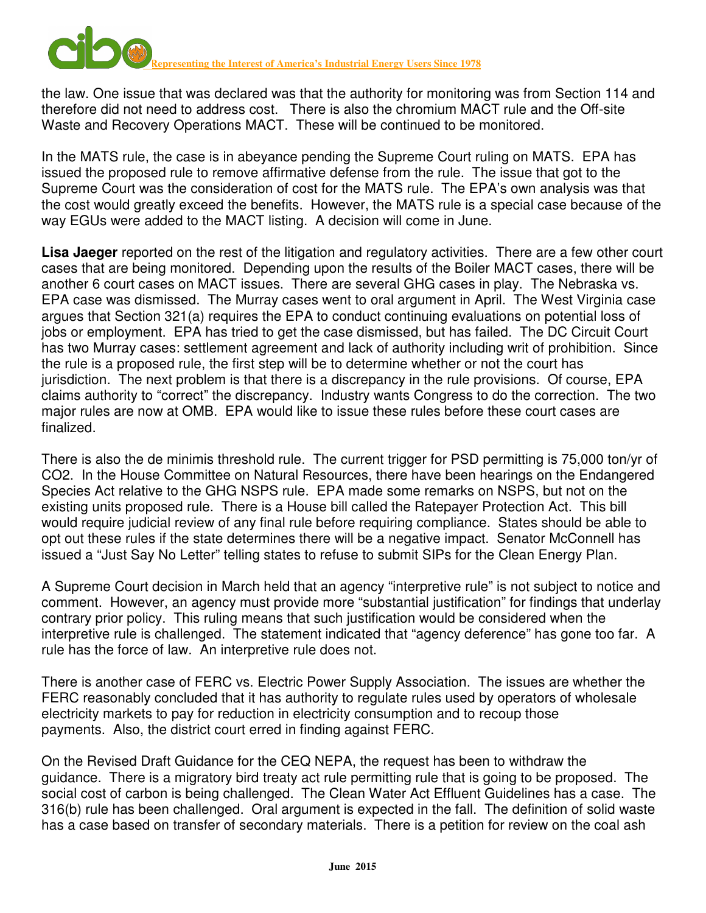

the law. One issue that was declared was that the authority for monitoring was from Section 114 and therefore did not need to address cost. There is also the chromium MACT rule and the Off-site Waste and Recovery Operations MACT. These will be continued to be monitored.

In the MATS rule, the case is in abeyance pending the Supreme Court ruling on MATS. EPA has issued the proposed rule to remove affirmative defense from the rule. The issue that got to the Supreme Court was the consideration of cost for the MATS rule. The EPA's own analysis was that the cost would greatly exceed the benefits. However, the MATS rule is a special case because of the way EGUs were added to the MACT listing. A decision will come in June.

**Lisa Jaeger** reported on the rest of the litigation and regulatory activities. There are a few other court cases that are being monitored. Depending upon the results of the Boiler MACT cases, there will be another 6 court cases on MACT issues. There are several GHG cases in play. The Nebraska vs. EPA case was dismissed. The Murray cases went to oral argument in April. The West Virginia case argues that Section 321(a) requires the EPA to conduct continuing evaluations on potential loss of jobs or employment. EPA has tried to get the case dismissed, but has failed. The DC Circuit Court has two Murray cases: settlement agreement and lack of authority including writ of prohibition. Since the rule is a proposed rule, the first step will be to determine whether or not the court has jurisdiction. The next problem is that there is a discrepancy in the rule provisions. Of course, EPA claims authority to "correct" the discrepancy. Industry wants Congress to do the correction. The two major rules are now at OMB. EPA would like to issue these rules before these court cases are finalized.

There is also the de minimis threshold rule. The current trigger for PSD permitting is 75,000 ton/yr of CO2. In the House Committee on Natural Resources, there have been hearings on the Endangered Species Act relative to the GHG NSPS rule. EPA made some remarks on NSPS, but not on the existing units proposed rule. There is a House bill called the Ratepayer Protection Act. This bill would require judicial review of any final rule before requiring compliance. States should be able to opt out these rules if the state determines there will be a negative impact. Senator McConnell has issued a "Just Say No Letter" telling states to refuse to submit SIPs for the Clean Energy Plan.

A Supreme Court decision in March held that an agency "interpretive rule" is not subject to notice and comment. However, an agency must provide more "substantial justification" for findings that underlay contrary prior policy. This ruling means that such justification would be considered when the interpretive rule is challenged. The statement indicated that "agency deference" has gone too far. A rule has the force of law. An interpretive rule does not.

There is another case of FERC vs. Electric Power Supply Association. The issues are whether the FERC reasonably concluded that it has authority to regulate rules used by operators of wholesale electricity markets to pay for reduction in electricity consumption and to recoup those payments. Also, the district court erred in finding against FERC.

On the Revised Draft Guidance for the CEQ NEPA, the request has been to withdraw the guidance. There is a migratory bird treaty act rule permitting rule that is going to be proposed. The social cost of carbon is being challenged. The Clean Water Act Effluent Guidelines has a case. The 316(b) rule has been challenged. Oral argument is expected in the fall. The definition of solid waste has a case based on transfer of secondary materials. There is a petition for review on the coal ash